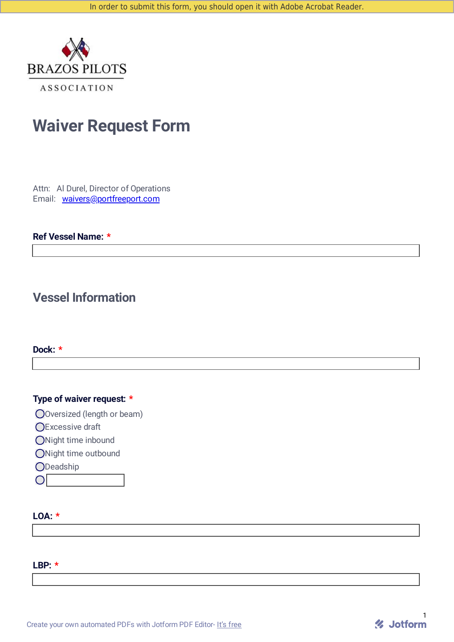

# **Waiver Request Form**

Attn: Al Durel, Director of Operations Email: [waivers@portfreeport.com](mailto:waivers@portfreeport.com)

### **Ref Vessel Name: \***

### **Vessel Information**

### **Dock: \***

### **Type of waiver request: \***

Oversized (length or beam)

**OExcessive draft** 

ONight time inbound

ONight time outbound

**ODeadship** 

 $|O|$ 

### **LOA: \***

#### **LBP: \***

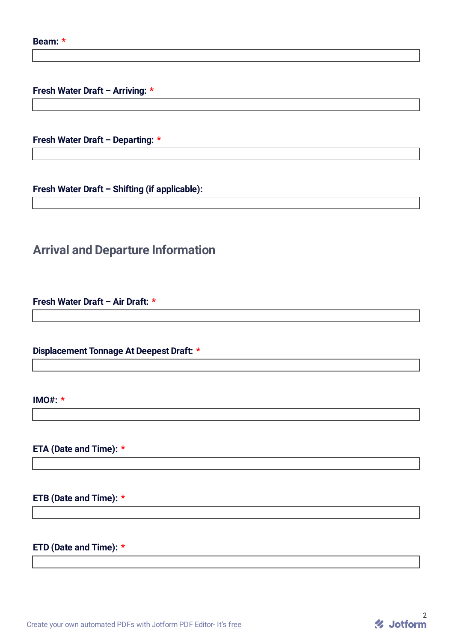**Fresh Water Draft – Arriving: \***

**Fresh Water Draft – Departing: \***

**Fresh Water Draft – Shifting (if applicable):**

# **Arrival and Departure Information**

**Fresh Water Draft – Air Draft: \***

**Displacement Tonnage At Deepest Draft: \***

**IMO#: \***

**ETA (Date and Time): \***

**ETB (Date and Time): \***

### **ETD (Date and Time): \***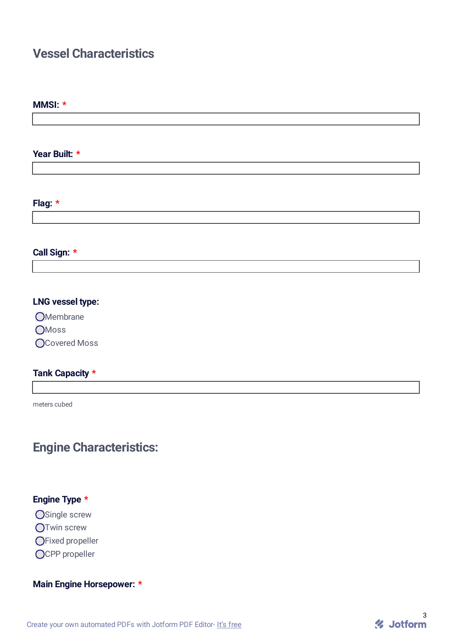## **Vessel Characteristics**

#### **MMSI: \***

**Year Built: \***

### **Flag: \***

### **Call Sign: \***

### **LNG vessel type:**

**O**Membrane

**O**Moss

O Covered Moss

### **Tank Capacity \***

meters cubed

### **Engine Characteristics:**

### **Engine Type \***

O Single screw

**OTwin screw** 

OFixed propeller

OCPP propeller

### **Main Engine Horsepower: \***

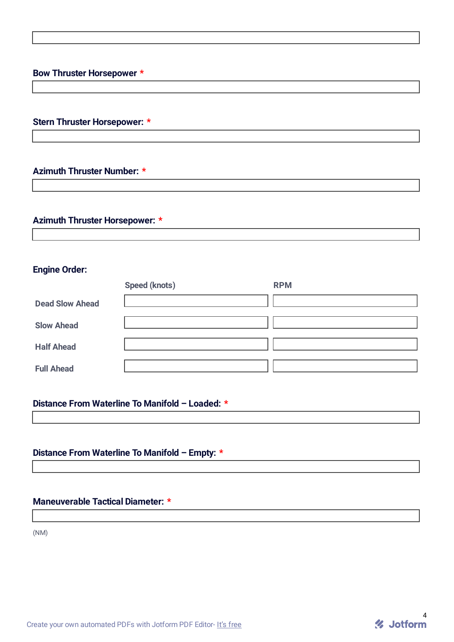### **Bow Thruster Horsepower \***

### **Stern Thruster Horsepower: \***

### **Azimuth Thruster Number: \***

### **Azimuth Thruster Horsepower: \***

### **Engine Order:**

|                        | <b>Speed (knots)</b> | <b>RPM</b> |
|------------------------|----------------------|------------|
| <b>Dead Slow Ahead</b> |                      |            |
| <b>Slow Ahead</b>      |                      |            |
| <b>Half Ahead</b>      |                      |            |
| <b>Full Ahead</b>      |                      |            |

### **Distance From Waterline To Manifold – Loaded: \***

### **Distance From Waterline To Manifold – Empty: \***

### **Maneuverable Tactical Diameter: \***

(NM)